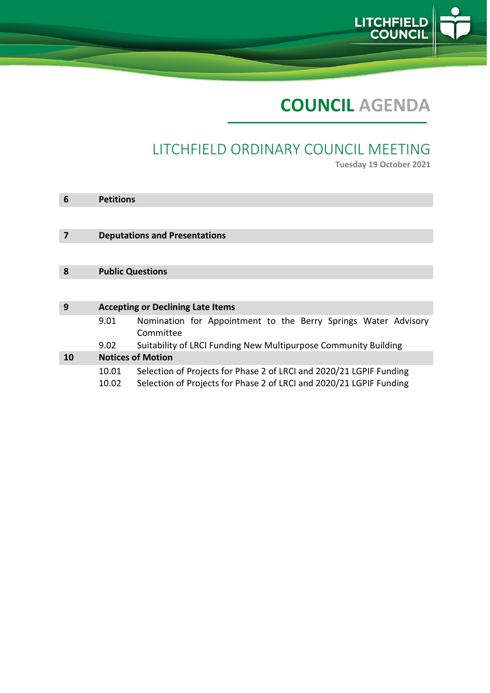

# **COUNCIL AGENDA**

## LITCHFIELD ORDINARY COUNCIL MEETING

**Tuesday 19 October 2021**

| 6  | <b>Petitions</b>                         |                                                                                                                                            |  |  |  |
|----|------------------------------------------|--------------------------------------------------------------------------------------------------------------------------------------------|--|--|--|
|    |                                          |                                                                                                                                            |  |  |  |
|    | <b>Deputations and Presentations</b>     |                                                                                                                                            |  |  |  |
|    |                                          |                                                                                                                                            |  |  |  |
| 8  | <b>Public Questions</b>                  |                                                                                                                                            |  |  |  |
|    |                                          |                                                                                                                                            |  |  |  |
| 9  | <b>Accepting or Declining Late Items</b> |                                                                                                                                            |  |  |  |
|    | 9.01                                     | Nomination for Appointment to the Berry Springs Water Advisory<br>Committee                                                                |  |  |  |
|    | 9.02                                     | Suitability of LRCI Funding New Multipurpose Community Building                                                                            |  |  |  |
| 10 |                                          | <b>Notices of Motion</b>                                                                                                                   |  |  |  |
|    | 10.01<br>10.02                           | Selection of Projects for Phase 2 of LRCI and 2020/21 LGPIF Funding<br>Selection of Projects for Phase 2 of LRCI and 2020/21 LGPIF Funding |  |  |  |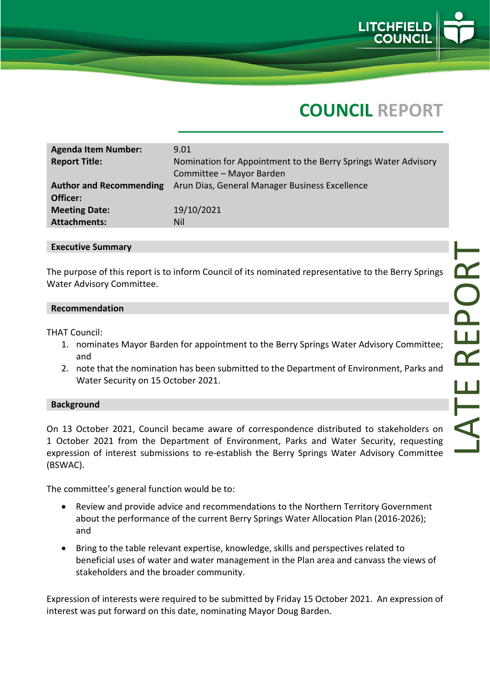

## **COUNCIL REPORT**

| <b>Agenda Item Number:</b><br><b>Report Title:</b> | 9.01<br>Nomination for Appointment to the Berry Springs Water Advisory |
|----------------------------------------------------|------------------------------------------------------------------------|
|                                                    | Committee - Mayor Barden                                               |
| <b>Author and Recommending</b>                     | Arun Dias, General Manager Business Excellence                         |
| Officer:                                           |                                                                        |
| <b>Meeting Date:</b>                               | 19/10/2021                                                             |
| <b>Attachments:</b>                                | Nil                                                                    |

#### **Executive Summary**

The purpose of this report is to inform Council of its nominated representative to the Berry Springs Water Advisory Committee.

#### **Recommendation**

THAT Council:

- 1. nominates Mayor Barden for appointment to the Berry Springs Water Advisory Committee; and
- 2. note that the nomination has been submitted to the Department of Environment, Parks and Water Security on 15 October 2021.

#### **Background**

On 13 October 2021, Council became aware of correspondence distributed to stakeholders on 1 October 2021 from the Department of Environment, Parks and Water Security, requesting expression of interest submissions to re-establish the Berry Springs Water Advisory Committee (BSWAC).

The committee's general function would be to:

- Review and provide advice and recommendations to the Northern Territory Government about the performance of the current Berry Springs Water Allocation Plan (2016-2026); and
- Bring to the table relevant expertise, knowledge, skills and perspectives related to beneficial uses of water and water management in the Plan area and canvass the views of stakeholders and the broader community.

Expression of interests were required to be submitted by Friday 15 October 2021. An expression of interest was put forward on this date, nominating Mayor Doug Barden.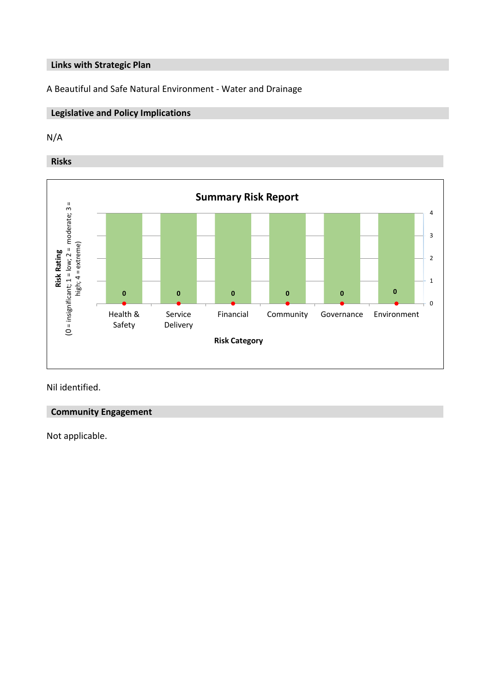#### **Links with Strategic Plan**

A Beautiful and Safe Natural Environment - Water and Drainage

## **Legislative and Policy Implications**

## N/A

**Risks**



Nil identified.

#### **Community Engagement**

Not applicable.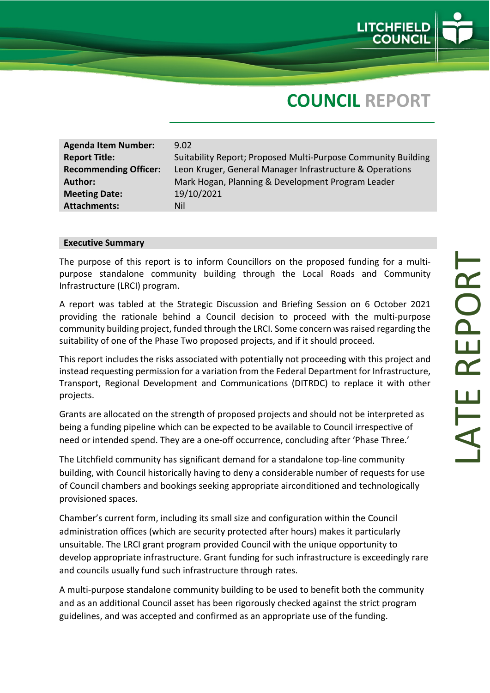

## **COUNCIL REPORT**

| <b>Agenda Item Number:</b><br><b>Report Title:</b> | 9.02<br>Suitability Report; Proposed Multi-Purpose Community Building |
|----------------------------------------------------|-----------------------------------------------------------------------|
| <b>Recommending Officer:</b>                       | Leon Kruger, General Manager Infrastructure & Operations              |
| Author:                                            | Mark Hogan, Planning & Development Program Leader                     |
| <b>Meeting Date:</b>                               | 19/10/2021                                                            |
| <b>Attachments:</b>                                | Nil                                                                   |
|                                                    |                                                                       |

#### **Executive Summary**

The purpose of this report is to inform Councillors on the proposed funding for a multi purpose standalone community building through the Local Roads and Community Infrastructure (LRCI) program.

A report was tabled at the Strategic Discussion and Briefing Session on 6 October 2021 providing the rationale behind a Council decision to proceed with the multi -purpose community building project, funded through the LRCI. Some concern was raised regarding the suitability of one of the Phase Two proposed project s, and if it should proceed.

This report includes the risks associated with potentially not proceeding with this project and instead requesting permission for a variation from the Federal Department for Infrastructure, Transport, Regional Development and Communications (DITRDC) to replace it with other projects.

Grants are allocated on the strength of proposed projects and should not be interpreted as being a funding pipeline which can be expected to be available to Council irrespective of need or intended spend. They are a one-off occurrence, concluding after 'Phase Three.'

The Litchfield community has significant demand for a standalone top -line community building, with Council historically having to deny a considerable number of requests for use of Council chambers and bookings seeking appropriate airconditioned and technologically provisioned spaces.

Chamber's current form, including its small size and configuration within the Council administration offices (which are security protected after hours) makes it particularly unsuitable. The LRCI grant program provided Council with the unique opportunity to develop appropriate infrastructure . Grant funding for such infrastructure is exceedingly rare and councils usually fund such infrastructure through rate s.

A multi -purpose standalone community building to be used to benefit both the community and as an additional Council asset has been rigorously checked against the strict program guidelines, and was accepted and confirmed as an appropriate use of the funding.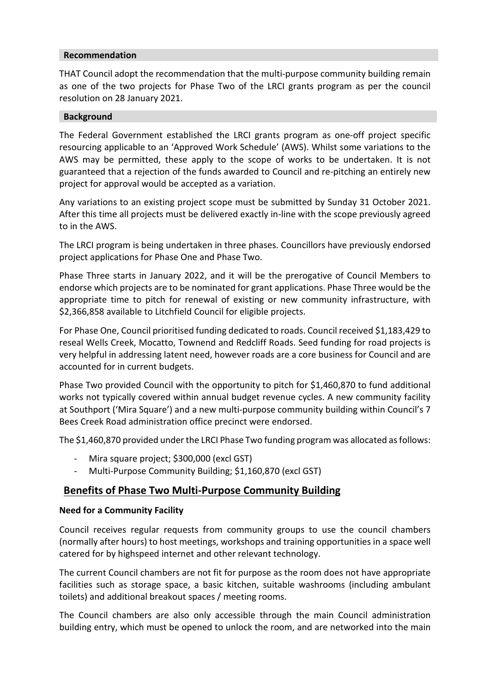#### **Recommendation**

THAT Council adopt the recommendation that the multi-purpose community building remain as one of the two projects for Phase Two of the LRCI grants program as per the council resolution on 28 January 2021.

#### **Background**

The Federal Government established the LRCI grants program as one-off project specific resourcing applicable to an 'Approved Work Schedule' (AWS). Whilst some variations to the AWS may be permitted, these apply to the scope of works to be undertaken. It is not guaranteed that a rejection of the funds awarded to Council and re-pitching an entirely new project for approval would be accepted as a variation.

Any variations to an existing project scope must be submitted by Sunday 31 October 2021. After this time all projects must be delivered exactly in-line with the scope previously agreed to in the AWS.

The LRCI program is being undertaken in three phases. Councillors have previously endorsed project applications for Phase One and Phase Two.

Phase Three starts in January 2022, and it will be the prerogative of Council Members to endorse which projects are to be nominated for grant applications. Phase Three would be the appropriate time to pitch for renewal of existing or new community infrastructure, with \$2,366,858 available to Litchfield Council for eligible projects.

For Phase One, Council prioritised funding dedicated to roads. Council received \$1,183,429 to reseal Wells Creek, Mocatto, Townend and Redcliff Roads. Seed funding for road projects is very helpful in addressing latent need, however roads are a core business for Council and are accounted for in current budgets.

Phase Two provided Council with the opportunity to pitch for \$1,460,870 to fund additional works not typically covered within annual budget revenue cycles. A new community facility at Southport ('Mira Square') and a new multi-purpose community building within Council's 7 Bees Creek Road administration office precinct were endorsed.

The \$1,460,870 provided under the LRCI Phase Two funding program was allocated as follows:

- Mira square project; \$300,000 (excl GST)
- Multi-Purpose Community Building; \$1,160,870 (excl GST)

## **Benefits of Phase Two Multi-Purpose Community Building**

#### **Need for a Community Facility**

Council receives regular requests from community groups to use the council chambers (normally after hours) to host meetings, workshops and training opportunities in a space well catered for by highspeed internet and other relevant technology.

The current Council chambers are not fit for purpose as the room does not have appropriate facilities such as storage space, a basic kitchen, suitable washrooms (including ambulant toilets) and additional breakout spaces / meeting rooms.

The Council chambers are also only accessible through the main Council administration building entry, which must be opened to unlock the room, and are networked into the main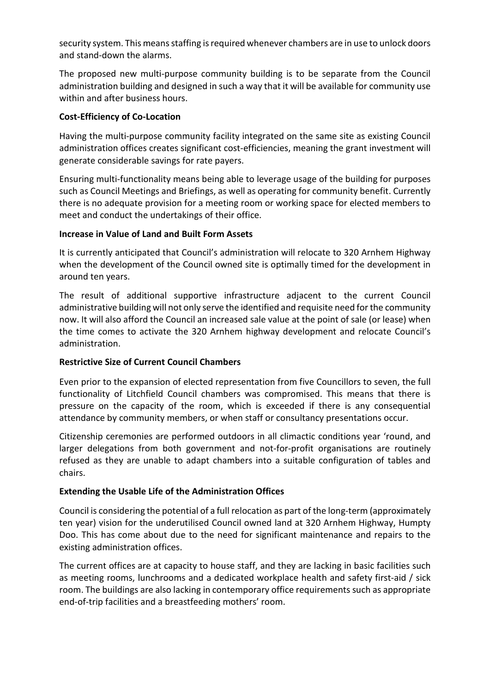security system. This means staffing is required whenever chambers are in use to unlock doors and stand-down the alarms.

The proposed new multi-purpose community building is to be separate from the Council administration building and designed in such a way that it will be available for community use within and after business hours.

#### **Cost-Efficiency of Co-Location**

Having the multi-purpose community facility integrated on the same site as existing Council administration offices creates significant cost-efficiencies, meaning the grant investment will generate considerable savings for rate payers.

Ensuring multi-functionality means being able to leverage usage of the building for purposes such as Council Meetings and Briefings, as well as operating for community benefit. Currently there is no adequate provision for a meeting room or working space for elected members to meet and conduct the undertakings of their office.

## **Increase in Value of Land and Built Form Assets**

It is currently anticipated that Council's administration will relocate to 320 Arnhem Highway when the development of the Council owned site is optimally timed for the development in around ten years.

The result of additional supportive infrastructure adjacent to the current Council administrative building will not only serve the identified and requisite need for the community now. It will also afford the Council an increased sale value at the point of sale (or lease) when the time comes to activate the 320 Arnhem highway development and relocate Council's administration.

## **Restrictive Size of Current Council Chambers**

Even prior to the expansion of elected representation from five Councillors to seven, the full functionality of Litchfield Council chambers was compromised. This means that there is pressure on the capacity of the room, which is exceeded if there is any consequential attendance by community members, or when staff or consultancy presentations occur.

Citizenship ceremonies are performed outdoors in all climactic conditions year 'round, and larger delegations from both government and not-for-profit organisations are routinely refused as they are unable to adapt chambers into a suitable configuration of tables and chairs.

## **Extending the Usable Life of the Administration Offices**

Council is considering the potential of a full relocation as part of the long-term (approximately ten year) vision for the underutilised Council owned land at 320 Arnhem Highway, Humpty Doo. This has come about due to the need for significant maintenance and repairs to the existing administration offices.

The current offices are at capacity to house staff, and they are lacking in basic facilities such as meeting rooms, lunchrooms and a dedicated workplace health and safety first-aid / sick room. The buildings are also lacking in contemporary office requirements such as appropriate end-of-trip facilities and a breastfeeding mothers' room.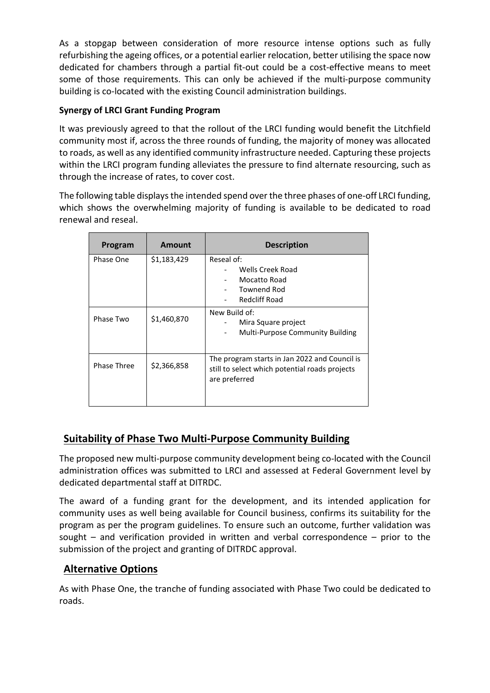As a stopgap between consideration of more resource intense options such as fully refurbishing the ageing offices, or a potential earlier relocation, better utilising the space now dedicated for chambers through a partial fit-out could be a cost-effective means to meet some of those requirements. This can only be achieved if the multi-purpose community building is co-located with the existing Council administration buildings.

## **Synergy of LRCI Grant Funding Program**

It was previously agreed to that the rollout of the LRCI funding would benefit the Litchfield community most if, across the three rounds of funding, the majority of money was allocated to roads, as well as any identified community infrastructure needed. Capturing these projects within the LRCI program funding alleviates the pressure to find alternate resourcing, such as through the increase of rates, to cover cost.

The following table displays the intended spend over the three phases of one-off LRCI funding, which shows the overwhelming majority of funding is available to be dedicated to road renewal and reseal.

| Program     | <b>Amount</b> | <b>Description</b>                                                                                               |
|-------------|---------------|------------------------------------------------------------------------------------------------------------------|
| Phase One   | \$1,183,429   | Reseal of:<br>Wells Creek Road<br>Mocatto Road<br>$\overline{a}$<br><b>Townend Rod</b><br><b>Redcliff Road</b>   |
| Phase Two   | \$1,460,870   | New Build of:<br>Mira Square project<br>Multi-Purpose Community Building                                         |
| Phase Three | \$2,366,858   | The program starts in Jan 2022 and Council is<br>still to select which potential roads projects<br>are preferred |

## **Suitability of Phase Two Multi-Purpose Community Building**

The proposed new multi-purpose community development being co-located with the Council administration offices was submitted to LRCI and assessed at Federal Government level by dedicated departmental staff at DITRDC.

The award of a funding grant for the development, and its intended application for community uses as well being available for Council business, confirms its suitability for the program as per the program guidelines. To ensure such an outcome, further validation was sought – and verification provided in written and verbal correspondence – prior to the submission of the project and granting of DITRDC approval.

## **Alternative Options**

As with Phase One, the tranche of funding associated with Phase Two could be dedicated to roads.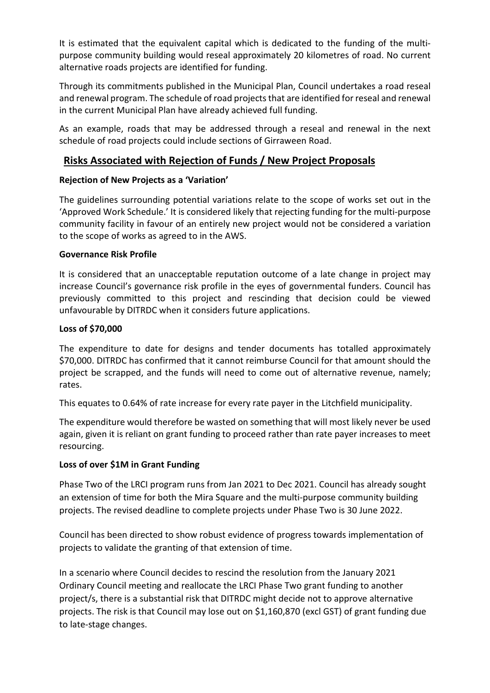It is estimated that the equivalent capital which is dedicated to the funding of the multipurpose community building would reseal approximately 20 kilometres of road. No current alternative roads projects are identified for funding.

Through its commitments published in the Municipal Plan, Council undertakes a road reseal and renewal program. The schedule of road projects that are identified for reseal and renewal in the current Municipal Plan have already achieved full funding.

As an example, roads that may be addressed through a reseal and renewal in the next schedule of road projects could include sections of Girraween Road.

## **Risks Associated with Rejection of Funds / New Project Proposals**

## **Rejection of New Projects as a 'Variation'**

The guidelines surrounding potential variations relate to the scope of works set out in the 'Approved Work Schedule.' It is considered likely that rejecting funding for the multi-purpose community facility in favour of an entirely new project would not be considered a variation to the scope of works as agreed to in the AWS.

## **Governance Risk Profile**

It is considered that an unacceptable reputation outcome of a late change in project may increase Council's governance risk profile in the eyes of governmental funders. Council has previously committed to this project and rescinding that decision could be viewed unfavourable by DITRDC when it considers future applications.

## **Loss of \$70,000**

The expenditure to date for designs and tender documents has totalled approximately \$70,000. DITRDC has confirmed that it cannot reimburse Council for that amount should the project be scrapped, and the funds will need to come out of alternative revenue, namely; rates.

This equates to 0.64% of rate increase for every rate payer in the Litchfield municipality.

The expenditure would therefore be wasted on something that will most likely never be used again, given it is reliant on grant funding to proceed rather than rate payer increases to meet resourcing.

## **Loss of over \$1M in Grant Funding**

Phase Two of the LRCI program runs from Jan 2021 to Dec 2021. Council has already sought an extension of time for both the Mira Square and the multi-purpose community building projects. The revised deadline to complete projects under Phase Two is 30 June 2022.

Council has been directed to show robust evidence of progress towards implementation of projects to validate the granting of that extension of time.

In a scenario where Council decides to rescind the resolution from the January 2021 Ordinary Council meeting and reallocate the LRCI Phase Two grant funding to another project/s, there is a substantial risk that DITRDC might decide not to approve alternative projects. The risk is that Council may lose out on \$1,160,870 (excl GST) of grant funding due to late-stage changes.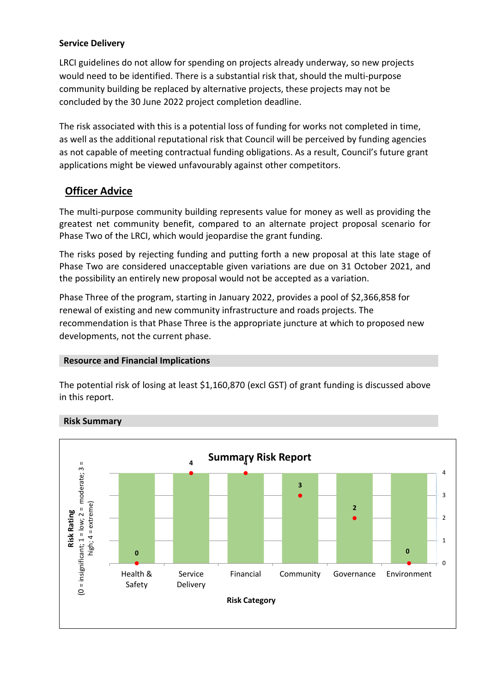## **Service Delivery**

LRCI guidelines do not allow for spending on projects already underway, so new projects would need to be identified. There is a substantial risk that, should the multi-purpose community building be replaced by alternative projects, these projects may not be concluded by the 30 June 2022 project completion deadline.

The risk associated with this is a potential loss of funding for works not completed in time, as well as the additional reputational risk that Council will be perceived by funding agencies as not capable of meeting contractual funding obligations. As a result, Council's future grant applications might be viewed unfavourably against other competitors.

## **Officer Advice**

The multi-purpose community building represents value for money as well as providing the greatest net community benefit, compared to an alternate project proposal scenario for Phase Two of the LRCI, which would jeopardise the grant funding.

The risks posed by rejecting funding and putting forth a new proposal at this late stage of Phase Two are considered unacceptable given variations are due on 31 October 2021, and the possibility an entirely new proposal would not be accepted as a variation.

Phase Three of the program, starting in January 2022, provides a pool of \$2,366,858 for renewal of existing and new community infrastructure and roads projects. The recommendation is that Phase Three is the appropriate juncture at which to proposed new developments, not the current phase.

## **Resource and Financial Implications**

The potential risk of losing at least \$1,160,870 (excl GST) of grant funding is discussed above in this report.



## **Risk Summary**